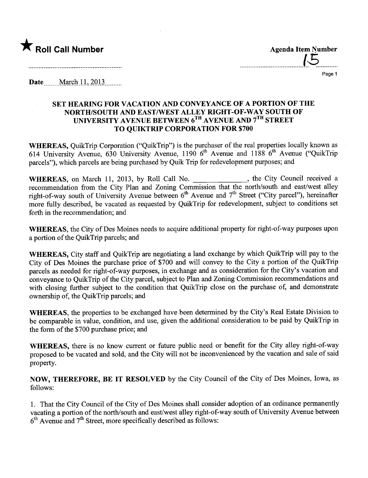

.....................................l~...........

Page 1

Date March 11, 2013

# SET HEARING FOR VACATION AND CONVEYANCE OF A PORTION OF THE NORTH/SOUTH AND EAST/WEST ALLEY RIGHT-OF-WAY SOUTH OF UNIVERSITY AVENUE BETWEEN 6TH AVENUE AND 7TH STREET TO QUIKTRIP CORPORATION FOR \$700

WHEREAS, QuikTrip Corporation ("QuikTrip") is the purchaser of the real properties locally known as 614 University Avenue, 630 University Avenue, 1190  $6<sup>th</sup>$  Avenue and 1188  $6<sup>th</sup>$  Avenue ("QuikTrip") parcels"), which parcels are being purchased by Quik Trip for redevelopment purposes; and

WHEREAS, on March 11, 2013, by Roll Call No. \_\_\_\_\_\_\_\_\_\_\_\_\_, the City Council received a recommendation from the City Plan and Zoning Commission that the north/south and east/west alley right-of-way south of University Avenue between  $6<sup>th</sup>$  Avenue and  $7<sup>th</sup>$  Street ("City parcel"), hereinafter more fully described, be vacated as requested by QuikTrip for redevelopment, subject to conditions set forth in the recommendation; and

WHEREAS, the City of Des Moines needs to acquire additional property for right-of-way purposes upon a portion of the QuikTrip parcels; and

WHEREAS, City staff and QuikTrip are negotiating a land exchange by which QuikTrip will pay to the City of Des Moines the purchase price of \$700 and will convey to the City a portion of the QuikTrip parcels as needed for right-of-way purposes, in exchange and as consideration for the City's vacation and conveyance to QuikTrip of the City parcel, subject to Plan and Zoning Commission recommendations and with closing further subject to the condition that QuikTrip close on the purchase of, and demonstrate ownership of, the QuikTrip parcels; and

WHEREAS, the properties to be exchanged have been determined by the City's Real Estate Division to be comparable in value, condition, and use, given the additional consideration to be paid by QuikTrip in the form of the \$700 purchase price; and

WHEREAS, there is no know current or future public need or benefit for the City alley right-of-way proposed to be vacated and sold, and the City will not be inconvenienced by the vacation and sale of said property.

NOW, THEREFORE, BE IT RESOLVED by the City Council of the City of Des Moines, Iowa, as follows:

1. That the City Council of the City of Des Moines shall consider adoption of an ordinance permanently vacating a portion of the north/south and east/west alley right-of-way south of University Avenue between  $6<sup>th</sup>$  Avenue and  $7<sup>th</sup>$  Street, more specifically described as follows: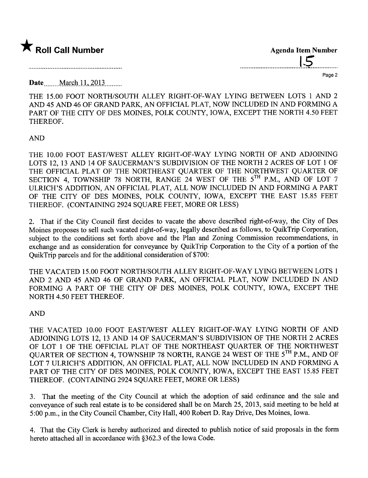

**Agenda Item Number** 

Page 2

**Date** March 11, 2013

THE 15.00 FOOT NORTH/SOUTH ALLEY RIGHT-OF-WAY LYING BETWEEN LOTS 1 AND 2 AND 45 AND 46 OF GRAND PARK, AN OFFICIAL PLAT, NOW INCLUDED IN AND FORMING A PART OF THE CITY OF DES MOINES, POLK COUNTY, IOWA, EXCEPT THE NORTH 4.50 FEET THEREOF.

## **AND**

THE 10.00 FOOT EAST/WEST ALLEY RIGHT-OF-WAY LYING NORTH OF AND ADJOINING LOTS 12, 13 AND 14 OF SAUCERMAN'S SUBDIVISION OF THE NORTH 2 ACRES OF LOT 1 OF THE OFFICIAL PLAT OF THE NORTHEAST QUARTER OF THE NORTHWEST QUARTER OF SECTION 4, TOWNSHIP 78 NORTH, RANGE 24 WEST OF THE 5TH P.M., AND OF LOT 7 ULRICH'S ADDITION, AN OFFICIAL PLAT, ALL NOW INCLUDED IN AND FORMING A PART OF THE CITY OF DES MOINES, POLK COUNTY, IOWA, EXCEPT THE EAST 15.85 FEET THEREOF. (CONTAINING 2924 SQUARE FEET, MORE OR LESS)

2. That if the City Council first decides to vacate the above described right-of-way, the City of Des Moines proposes to sell such vacated right-of-way, legally described as follows, to OuikTrip Corporation, subject to the conditions set forth above and the Plan and Zoning Commission recommendations, in exchange and as consideration for conveyance by QuikTrip Corporation to the City of a portion of the OuikTrip parcels and for the additional consideration of \$700:

THE VACATED 15.00 FOOT NORTH/SOUTH ALLEY RIGHT-OF-WAY LYING BETWEEN LOTS 1 AND 2 AND 45 AND 46 OF GRAND PARK, AN OFFICIAL PLAT, NOW INCLUDED IN AND FORMING A PART OF THE CITY OF DES MOINES, POLK COUNTY, IOWA, EXCEPT THE NORTH 4.50 FEET THEREOF.

### **AND**

THE VACATED 10.00 FOOT EAST/WEST ALLEY RIGHT-OF-WAY LYING NORTH OF AND ADJOINING LOTS 12, 13 AND 14 OF SAUCERMAN'S SUBDIVISION OF THE NORTH 2 ACRES OF LOT 1 OF THE OFFICIAL PLAT OF THE NORTHEAST QUARTER OF THE NORTHWEST QUARTER OF SECTION 4, TOWNSHIP 78 NORTH, RANGE 24 WEST OF THE 5TH P.M., AND OF LOT 7 ULRICH'S ADDITION, AN OFFICIAL PLAT, ALL NOW INCLUDED IN AND FORMING A PART OF THE CITY OF DES MOINES, POLK COUNTY, IOWA, EXCEPT THE EAST 15.85 FEET THEREOF. (CONTAINING 2924 SQUARE FEET, MORE OR LESS)

3. That the meeting of the City Council at which the adoption of said ordinance and the sale and conveyance of such real estate is to be considered shall be on March 25, 2013, said meeting to be held at 5:00 p.m., in the City Council Chamber, City Hall, 400 Robert D. Ray Drive, Des Moines, Iowa.

4. That the City Clerk is hereby authorized and directed to publish notice of said proposals in the form hereto attached all in accordance with §362.3 of the Iowa Code.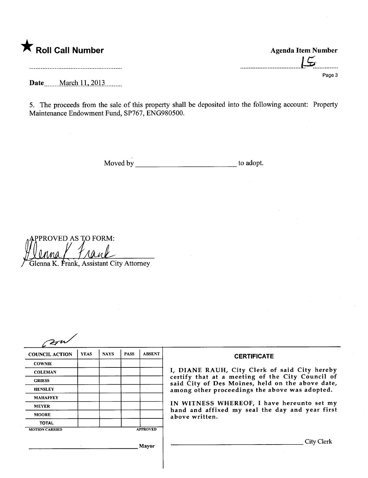# \* Roll Call Number Agenda Item Number

 $15$ Page 3

Date \_\_\_\_\_ March 11, 2013 \_\_\_\_\_.

5. The proceeds from the sale of this property shall be deposited into the following account: Property Maintenance Endowment Fund, SP767, ENG980500.

Moved by  $\qquad \qquad$  to adopt.

PPROVED AS TO FORM: Glenna K. Frank, Assistant City Attorney

| 27                    |             |             |             |                 |                                                                                                                                                                   |  |  |
|-----------------------|-------------|-------------|-------------|-----------------|-------------------------------------------------------------------------------------------------------------------------------------------------------------------|--|--|
| <b>COUNCIL ACTION</b> | <b>YEAS</b> | <b>NAYS</b> | <b>PASS</b> | <b>ABSENT</b>   | <b>CERTIFICATE</b>                                                                                                                                                |  |  |
| <b>COWNIE</b>         |             |             |             |                 | I, DIANE RAUH, City Clerk of said City hereby                                                                                                                     |  |  |
| <b>COLEMAN</b>        |             |             |             |                 |                                                                                                                                                                   |  |  |
| <b>GRIESS</b>         |             |             |             |                 | certify that at a meeting of the City Council of<br>said City of Des Moines, held on the above date,                                                              |  |  |
| <b>HENSLEY</b>        |             |             |             |                 | among other proceedings the above was adopted.<br>IN WITNESS WHEREOF, I have hereunto set my<br>hand and affixed my seal the day and year first<br>above written. |  |  |
| <b>MAHAFFEY</b>       |             |             |             |                 |                                                                                                                                                                   |  |  |
| <b>MEYER</b>          |             |             |             |                 |                                                                                                                                                                   |  |  |
| <b>MOORE</b>          |             |             |             |                 |                                                                                                                                                                   |  |  |
| <b>TOTAL</b>          |             |             |             |                 |                                                                                                                                                                   |  |  |
| <b>MOTION CARRIED</b> |             |             |             | <b>APPROVED</b> |                                                                                                                                                                   |  |  |
| Mayor                 |             |             |             |                 | City Clerk                                                                                                                                                        |  |  |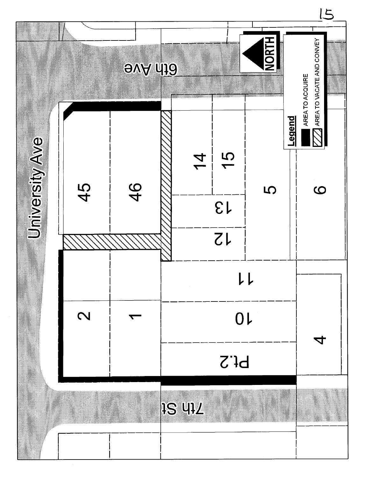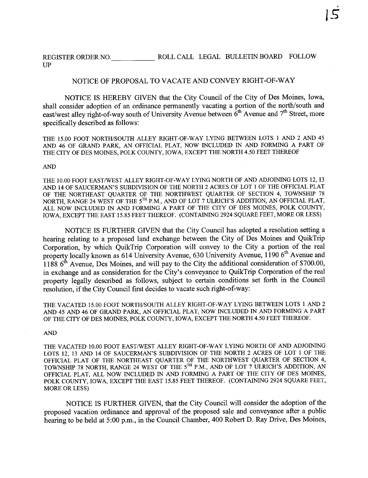REGISTER ORDER NO. ROLL CALL LEGAL BULLETIN BOAR FOLLOW UP

# NOTICE OF PROPOSAL TO VACATE AND CONVEY RIGHT-OF-WAY

NOTICE is HEREBY GIVEN that the City Council of the City of Des Moines, Iowa, shall consider adoption of an ordinance permanently vacating a portion of the north/south and east/west alley right-of-way south of University Avenue between  $6<sup>th</sup>$  Avenue and  $7<sup>th</sup>$  Street, more specifically described as follows:

THE 15.00 FOOT NORTH/SOUTH ALLEY RIGHT-OF-WAY LYING BETWEEN LOTS 1 AND 2 AND 45 AND 46 OF GRAND PARK, AN OFFICIAL PLAT, NOW INCLUDED IN AND FORMING A PART OF THE CITY OF DES MOINS, POLK COUNY, IOWA, EXCEPT THE NORTH 4.50 FEET THEREOF

#### **AND**

THE 10.00 FOOT EAST/WEST ALLEY RIGHT-OF-WAY LYING NORTH OF AND ADJOINING LOTS 12, 13 AND 14 OF SAUCERMAN'S SUBDIVISION OF THE NORTH 2 ACRES OF LOT 1 OF THE OFFICIAL PLAT OF THE NORTHEAST QUARTER OF THE NORTHWEST QUARTER OF SECTION 4, TOWNSHIP 78 NORTH, RANGE 24 WEST OF THE 5<sup>TH</sup> P.M., AND OF LOT 7 ULRICH'S ADDITION, AN OFFICIAL PLAT, ALL NOW INCLUDED IN AND FORMING A PART OF THE CITY OF DES MOINS, POLK COUNTY, IOWA, EXCEPT THE EAST 15.85 FEET THEREOF. (CONTAINING 2924 SQUARE FEET, MORE OR LESS)

NOTICE is FURTHER GIVEN that the City Council has adopted a resolution setting a hearing relating to a proposed land exchange between the City of Des Moines and QuikTrip Corporation, by which QuikTrip Corporation wil convey to the City a portion of the real property locally known as 614 University Avenue, 630 University Avenue, 1190 6<sup>th</sup> Avenue and 1188 6<sup>th</sup> Avenue, Des Moines, and will pay to the City the additional consideration of \$700.00, in exchange and as consideration for the City's conveyance to QuikTrip Corporation of the real property legally described as follows, subject to certain conditions set forth in the Council resolution, if the City Council first decides to vacate such right-of-way:

THE VACATED 15.00 FOOT NORTH/SOUTH ALLEY RIGHT-OF-WAY LYING BETWEEN LOTS 1 AND 2 AND 45 AND 46 OF GRAND PARK, AN OFFICIAL PLAT, NOW INCLUDED IN AND FORMING A PART OF THE CITY OF DES MOINES, POLK COUNTY, IOWA, EXCEPT THE NORTH 4.50 FEET THEREOF.

### AN

THE VACATED 10.00 FOOT EAST/WEST ALLEY RIGHT-OF-WAY LYING NORTH OF AND ADJOINING LOTS 12, 13 AND 14 OF SAUCERMAN'S SUBDIVISION OF THE NORTH 2 ACRES OF LOT 1 OF THE OFFICIAL PLAT OF THE NORTHEAST QUARTER OF THE NORTHWEST QUARTER OF SECTION 4, TOWNSHIP 78 NORTH, RANGE 24 WEST OF THE 5<sup>TH</sup> P.M., AND OF LOT 7 ULRICH'S ADDITION, AN OFFICIAL PLAT, ALL NOW INCLUDED IN AND FORMING A PART OF THE CITY OF DES MOINES, POLK COUNTY. IOWA, EXCEPT THE EAST 15.85 FEET THEREOF. (CONTAINING 2924 SQUARE FEET, MORE OR LESS)

NOTICE is FURTHER GIVEN, that the City Council wil consider the adoption of the proposed vacation ordinance and approval of the proposed sale and conveyance after a public hearing to be held at 5:00 p.m., in the Council Chamber, 400 Robert D. Ray Drive, Des Moines,